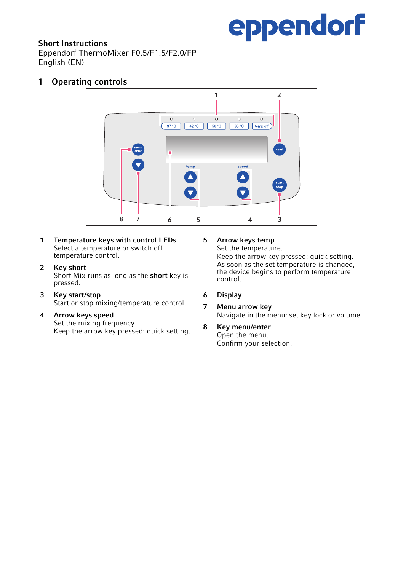

## Short Instructions

Eppendorf ThermoMixer F0.5/F1.5/F2.0/FP English (EN)

# 1 Operating controls



- 1 Temperature keys with control LEDs Select a temperature or switch off temperature control.
- 2 Key short Short Mix runs as long as the short key is pressed.
- 3 Key start/stop Start or stop mixing/temperature control.
- 4 Arrow keys speed

Set the mixing frequency. Keep the arrow key pressed: quick setting.

### 5 Arrow keys temp

Set the temperature. Keep the arrow key pressed: quick setting. As soon as the set temperature is changed the device begins to perform temperature control.

- 6 Display
- 7 Menu arrow key Navigate in the menu: set key lock or volume.
- 8 Key menu/enter Open the menu. Confirm your selection.